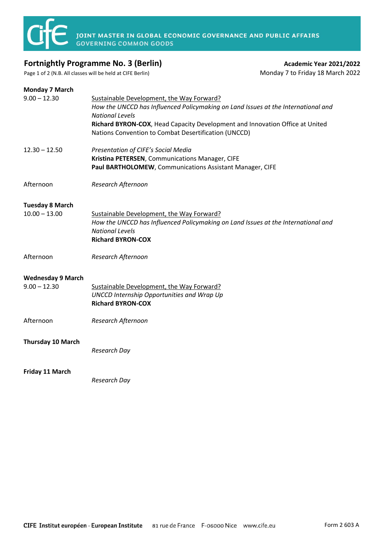

## **Fortnightly Programme No. 3 (Berlin) Academic Year 2021/2022 Academic Year 2021/2022**

Page 1 of 2 (N.B. All classes will be held at CIFE Berlin) Monday 7 to Friday 18 March 2022

| <b>Monday 7 March</b>    |                                                                                                             |
|--------------------------|-------------------------------------------------------------------------------------------------------------|
| $9.00 - 12.30$           | Sustainable Development, the Way Forward?                                                                   |
|                          | How the UNCCD has Influenced Policymaking on Land Issues at the International and<br><b>National Levels</b> |
|                          | Richard BYRON-COX, Head Capacity Development and Innovation Office at United                                |
|                          | Nations Convention to Combat Desertification (UNCCD)                                                        |
| $12.30 - 12.50$          | Presentation of CIFE's Social Media                                                                         |
|                          | Kristina PETERSEN, Communications Manager, CIFE                                                             |
|                          | Paul BARTHOLOMEW, Communications Assistant Manager, CIFE                                                    |
| Afternoon                | Research Afternoon                                                                                          |
| <b>Tuesday 8 March</b>   |                                                                                                             |
| $10.00 - 13.00$          | Sustainable Development, the Way Forward?                                                                   |
|                          | How the UNCCD has Influenced Policymaking on Land Issues at the International and                           |
|                          | <b>National Levels</b>                                                                                      |
|                          | <b>Richard BYRON-COX</b>                                                                                    |
| Afternoon                | Research Afternoon                                                                                          |
| <b>Wednesday 9 March</b> |                                                                                                             |
| $9.00 - 12.30$           | Sustainable Development, the Way Forward?                                                                   |
|                          | <b>UNCCD Internship Opportunities and Wrap Up</b>                                                           |
|                          | <b>Richard BYRON-COX</b>                                                                                    |
| Afternoon                | Research Afternoon                                                                                          |
| Thursday 10 March        |                                                                                                             |
|                          | <b>Research Day</b>                                                                                         |
|                          |                                                                                                             |
| Friday 11 March          |                                                                                                             |
|                          | <b>Research Day</b>                                                                                         |